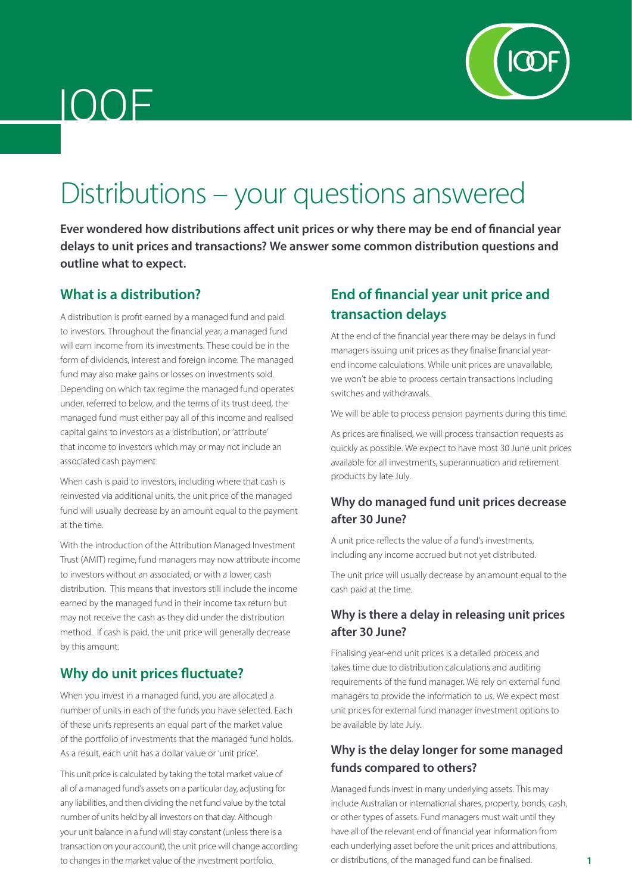

# IOOF

# Distributions – your questions answered

**Ever wondered how distributions affect unit prices or why there may be end of financial year delays to unit prices and transactions? We answer some common distribution questions and outline what to expect.**

#### **What is a distribution?**

A distribution is profit earned by a managed fund and paid to investors. Throughout the financial year, a managed fund will earn income from its investments. These could be in the form of dividends, interest and foreign income. The managed fund may also make gains or losses on investments sold. Depending on which tax regime the managed fund operates under, referred to below, and the terms of its trust deed, the managed fund must either pay all of this income and realised capital gains to investors as a 'distribution', or 'attribute' that income to investors which may or may not include an associated cash payment.

When cash is paid to investors, including where that cash is reinvested via additional units, the unit price of the managed fund will usually decrease by an amount equal to the payment at the time.

With the introduction of the Attribution Managed Investment Trust (AMIT) regime, fund managers may now attribute income to investors without an associated, or with a lower, cash distribution. This means that investors still include the income earned by the managed fund in their income tax return but may not receive the cash as they did under the distribution method. If cash is paid, the unit price will generally decrease by this amount.

### **Why do unit prices fluctuate?**

When you invest in a managed fund, you are allocated a number of units in each of the funds you have selected. Each of these units represents an equal part of the market value of the portfolio of investments that the managed fund holds. As a result, each unit has a dollar value or 'unit price'.

This unit price is calculated by taking the total market value of all of a managed fund's assets on a particular day, adjusting for any liabilities, and then dividing the net fund value by the total number of units held by all investors on that day. Although your unit balance in a fund will stay constant (unless there is a transaction on your account), the unit price will change according to changes in the market value of the investment portfolio.

## **End of financial year unit price and transaction delays**

At the end of the financial year there may be delays in fund managers issuing unit prices as they finalise financial yearend income calculations. While unit prices are unavailable, we won't be able to process certain transactions including switches and withdrawals.

We will be able to process pension payments during this time.

As prices are finalised, we will process transaction requests as quickly as possible. We expect to have most 30 June unit prices available for all investments, superannuation and retirement products by late July.

#### **Why do managed fund unit prices decrease after 30 June?**

A unit price reflects the value of a fund's investments, including any income accrued but not yet distributed.

The unit price will usually decrease by an amount equal to the cash paid at the time.

#### **Why is there a delay in releasing unit prices after 30 June?**

Finalising year-end unit prices is a detailed process and takes time due to distribution calculations and auditing requirements of the fund manager. We rely on external fund managers to provide the information to us. We expect most unit prices for external fund manager investment options to be available by late July.

#### **Why is the delay longer for some managed funds compared to others?**

Managed funds invest in many underlying assets. This may include Australian or international shares, property, bonds, cash, or other types of assets. Fund managers must wait until they have all of the relevant end of financial year information from each underlying asset before the unit prices and attributions, or distributions, of the managed fund can be finalised.